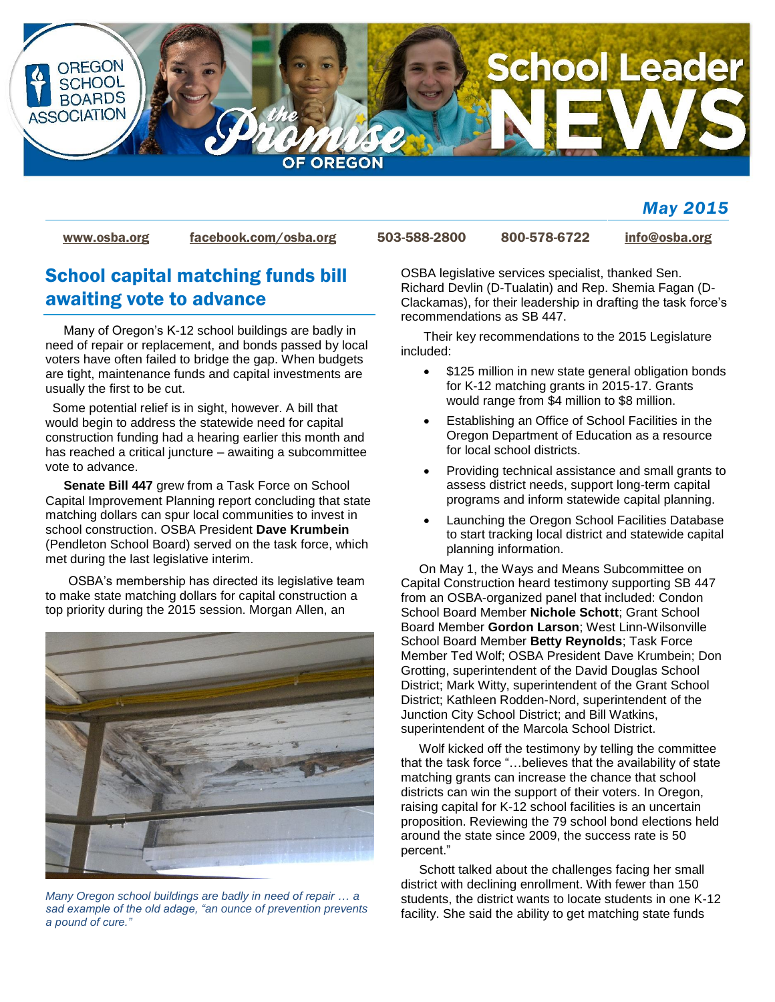

## *May 2015*

[www.osba.org](http://www.osba.org/) [facebook.com/osba.org](http://www.facebook.com/osba.org) 503-588-2800 800-578-6722 [info@osba.org](mailto:info@osba.org)

# School capital matching funds bill awaiting vote to advance

Many of Oregon's K-12 school buildings are badly in need of repair or replacement, and bonds passed by local voters have often failed to bridge the gap. When budgets are tight, maintenance funds and capital investments are usually the first to be cut.

 Some potential relief is in sight, however. A bill that would begin to address the statewide need for capital construction funding had a hearing earlier this month and has reached a critical juncture – awaiting a subcommittee vote to advance.

**Senate Bill 447** grew from a Task Force on School Capital Improvement Planning report concluding that state matching dollars can spur local communities to invest in school construction. OSBA President **Dave Krumbein** (Pendleton School Board) served on the task force, which met during the last legislative interim.

OSBA's membership has directed its legislative team to make state matching dollars for capital construction a top priority during the 2015 session. Morgan Allen, an



*Many Oregon school buildings are badly in need of repair … a sad example of the old adage, "an ounce of prevention prevents a pound of cure."* 

OSBA legislative services specialist, thanked Sen. Richard Devlin (D-Tualatin) and Rep. Shemia Fagan (D-Clackamas), for their leadership in drafting the task force's recommendations as SB 447.

Their key recommendations to the 2015 Legislature included:

- \$125 million in new state general obligation bonds for K-12 matching grants in 2015-17. Grants would range from \$4 million to \$8 million.
- Establishing an Office of School Facilities in the Oregon Department of Education as a resource for local school districts.
- Providing technical assistance and small grants to assess district needs, support long-term capital programs and inform statewide capital planning.
- Launching the Oregon School Facilities Database to start tracking local district and statewide capital planning information.

On May 1, the Ways and Means Subcommittee on Capital Construction heard testimony supporting SB 447 from an OSBA-organized panel that included: Condon School Board Member **Nichole Schott**; Grant School Board Member **Gordon Larson**; West Linn-Wilsonville School Board Member **Betty Reynolds**; Task Force Member Ted Wolf; OSBA President Dave Krumbein; Don Grotting, superintendent of the David Douglas School District; Mark Witty, superintendent of the Grant School District; Kathleen Rodden-Nord, superintendent of the Junction City School District; and Bill Watkins, superintendent of the Marcola School District.

Wolf kicked off the testimony by telling the committee that the task force "…believes that the availability of state matching grants can increase the chance that school districts can win the support of their voters. In Oregon, raising capital for K-12 school facilities is an uncertain proposition. Reviewing the 79 school bond elections held around the state since 2009, the success rate is 50 percent."

Schott talked about the challenges facing her small district with declining enrollment. With fewer than 150 students, the district wants to locate students in one K-12 facility. She said the ability to get matching state funds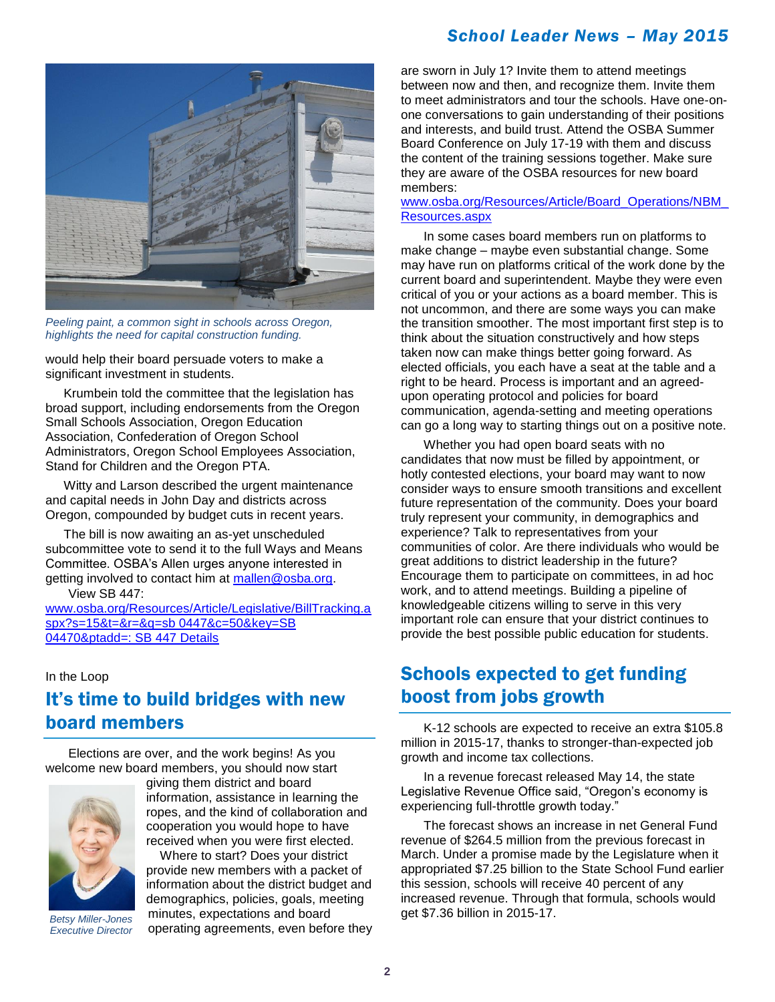## *School Leader News – May 2015*



*Peeling paint, a common sight in schools across Oregon, highlights the need for capital construction funding.*

would help their board persuade voters to make a significant investment in students.

Krumbein told the committee that the legislation has broad support, including endorsements from the Oregon Small Schools Association, Oregon Education Association, Confederation of Oregon School Administrators, Oregon School Employees Association, Stand for Children and the Oregon PTA.

Witty and Larson described the urgent maintenance and capital needs in John Day and districts across Oregon, compounded by budget cuts in recent years.

The bill is now awaiting an as-yet unscheduled subcommittee vote to send it to the full Ways and Means Committee. OSBA's Allen urges anyone interested in getting involved to contact him at [mallen@osba.org.](mailto:mallen@osba.org)

View SB 447:

[www.osba.org/Resources/Article/Legislative/BillTracking.a](http://www.osba.org/Resources/Article/Legislative/BillTracking.aspx?s=15&t=&r=&q=sb%200447&c=50&key=SB%2004470&ptadd=:%20SB%20447%20Details) [spx?s=15&t=&r=&q=sb 0447&c=50&key=SB](http://www.osba.org/Resources/Article/Legislative/BillTracking.aspx?s=15&t=&r=&q=sb%200447&c=50&key=SB%2004470&ptadd=:%20SB%20447%20Details)  [04470&ptadd=: SB 447 Details](http://www.osba.org/Resources/Article/Legislative/BillTracking.aspx?s=15&t=&r=&q=sb%200447&c=50&key=SB%2004470&ptadd=:%20SB%20447%20Details)

#### In the Loop

# It's time to build bridges with new board members

Elections are over, and the work begins! As you welcome new board members, you should now start



*Executive Director*

giving them district and board information, assistance in learning the ropes, and the kind of collaboration and cooperation you would hope to have received when you were first elected.

 Where to start? Does your district provide new members with a packet of information about the district budget and demographics, policies, goals, meeting minutes, expectations and board get \$7.36 billion in 2015-17. *Betsy Miller-Jones* operating agreements, even before they

are sworn in July 1? Invite them to attend meetings between now and then, and recognize them. Invite them to meet administrators and tour the schools. Have one-onone conversations to gain understanding of their positions and interests, and build trust. Attend the OSBA Summer Board Conference on July 17-19 with them and discuss the content of the training sessions together. Make sure they are aware of the OSBA resources for new board members:

### [www.osba.org/Resources/Article/Board\\_Operations/NBM\\_](http://www.osba.org/Resources/Article/Board_Operations/NBM_Resources.aspx) [Resources.aspx](http://www.osba.org/Resources/Article/Board_Operations/NBM_Resources.aspx)

In some cases board members run on platforms to make change – maybe even substantial change. Some may have run on platforms critical of the work done by the current board and superintendent. Maybe they were even critical of you or your actions as a board member. This is not uncommon, and there are some ways you can make the transition smoother. The most important first step is to think about the situation constructively and how steps taken now can make things better going forward. As elected officials, you each have a seat at the table and a right to be heard. Process is important and an agreedupon operating protocol and policies for board communication, agenda-setting and meeting operations can go a long way to starting things out on a positive note.

Whether you had open board seats with no candidates that now must be filled by appointment, or hotly contested elections, your board may want to now consider ways to ensure smooth transitions and excellent future representation of the community. Does your board truly represent your community, in demographics and experience? Talk to representatives from your communities of color. Are there individuals who would be great additions to district leadership in the future? Encourage them to participate on committees, in ad hoc work, and to attend meetings. Building a pipeline of knowledgeable citizens willing to serve in this very important role can ensure that your district continues to provide the best possible public education for students.

# Schools expected to get funding boost from jobs growth

K-12 schools are expected to receive an extra \$105.8 million in 2015-17, thanks to stronger-than-expected job growth and income tax collections.

In a revenue forecast released May 14, the state Legislative Revenue Office said, "Oregon's economy is experiencing full-throttle growth today."

The forecast shows an increase in net General Fund revenue of \$264.5 million from the previous forecast in March. Under a promise made by the Legislature when it appropriated \$7.25 billion to the State School Fund earlier this session, schools will receive 40 percent of any increased revenue. Through that formula, schools would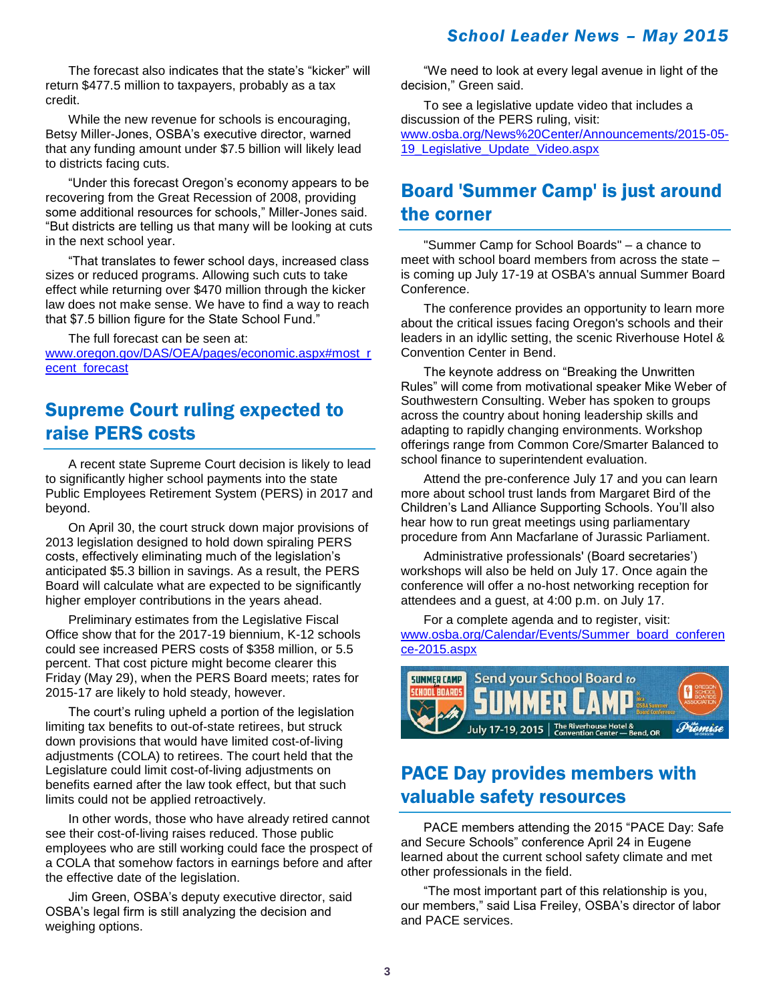## *School Leader News – May 2015*

The forecast also indicates that the state's "kicker" will return \$477.5 million to taxpayers, probably as a tax credit.

While the new revenue for schools is encouraging, Betsy Miller-Jones, OSBA's executive director, warned that any funding amount under \$7.5 billion will likely lead to districts facing cuts.

"Under this forecast Oregon's economy appears to be recovering from the Great Recession of 2008, providing some additional resources for schools," Miller-Jones said. "But districts are telling us that many will be looking at cuts in the next school year.

"That translates to fewer school days, increased class sizes or reduced programs. Allowing such cuts to take effect while returning over \$470 million through the kicker law does not make sense. We have to find a way to reach that \$7.5 billion figure for the State School Fund."

The full forecast can be seen at:

[www.oregon.gov/DAS/OEA/pages/economic.aspx#most\\_r](http://www.oregon.gov/DAS/OEA/pages/economic.aspx#most_recent_forecast) [ecent\\_forecast](http://www.oregon.gov/DAS/OEA/pages/economic.aspx#most_recent_forecast)

# Supreme Court ruling expected to raise PERS costs

A recent state Supreme Court decision is likely to lead to significantly higher school payments into the state Public Employees Retirement System (PERS) in 2017 and beyond.

On April 30, the court struck down major provisions of 2013 legislation designed to hold down spiraling PERS costs, effectively eliminating much of the legislation's anticipated \$5.3 billion in savings. As a result, the PERS Board will calculate what are expected to be significantly higher employer contributions in the years ahead.

Preliminary estimates from the Legislative Fiscal Office show that for the 2017-19 biennium, K-12 schools could see increased PERS costs of \$358 million, or 5.5 percent. That cost picture might become clearer this Friday (May 29), when the PERS Board meets; rates for 2015-17 are likely to hold steady, however.

The court's ruling upheld a portion of the legislation limiting tax benefits to out-of-state retirees, but struck down provisions that would have limited cost-of-living adjustments (COLA) to retirees. The court held that the Legislature could limit cost-of-living adjustments on benefits earned after the law took effect, but that such limits could not be applied retroactively.

In other words, those who have already retired cannot see their cost-of-living raises reduced. Those public employees who are still working could face the prospect of a COLA that somehow factors in earnings before and after the effective date of the legislation.

Jim Green, OSBA's deputy executive director, said OSBA's legal firm is still analyzing the decision and weighing options.

"We need to look at every legal avenue in light of the decision," Green said.

To see a legislative update video that includes a discussion of the PERS ruling, visit: [www.osba.org/News%20Center/Announcements/2015-05-](http://www.osba.org/News%20Center/Announcements/2015-05-19_Legislative_Update_Video.aspx) [19\\_Legislative\\_Update\\_Video.aspx](http://www.osba.org/News%20Center/Announcements/2015-05-19_Legislative_Update_Video.aspx)

# Board 'Summer Camp' is just around the corner

"Summer Camp for School Boards" – a chance to meet with school board members from across the state – is coming up July 17-19 at OSBA's annual Summer Board Conference.

The conference provides an opportunity to learn more about the critical issues facing Oregon's schools and their leaders in an idyllic setting, the scenic Riverhouse Hotel & Convention Center in Bend.

The keynote address on "Breaking the Unwritten Rules" will come from motivational speaker Mike Weber of Southwestern Consulting. Weber has spoken to groups across the country about honing leadership skills and adapting to rapidly changing environments. Workshop offerings range from Common Core/Smarter Balanced to school finance to superintendent evaluation.

Attend the pre-conference July 17 and you can learn more about school trust lands from Margaret Bird of the Children's Land Alliance Supporting Schools. You'll also hear how to run great meetings using parliamentary procedure from Ann Macfarlane of Jurassic Parliament.

Administrative professionals' (Board secretaries') workshops will also be held on July 17. Once again the conference will offer a no-host networking reception for attendees and a guest, at 4:00 p.m. on July 17.

For a complete agenda and to register, visit: [www.osba.org/Calendar/Events/Summer\\_board\\_conferen](http://www.osba.org/Calendar/Events/Summer_board_conference-2015.aspx) [ce-2015.aspx](http://www.osba.org/Calendar/Events/Summer_board_conference-2015.aspx)



# PACE Day provides members with valuable safety resources

PACE members attending the 2015 "PACE Day: Safe and Secure Schools" conference April 24 in Eugene learned about the current school safety climate and met other professionals in the field.

"The most important part of this relationship is you, our members," said Lisa Freiley, OSBA's director of labor and PACE services.